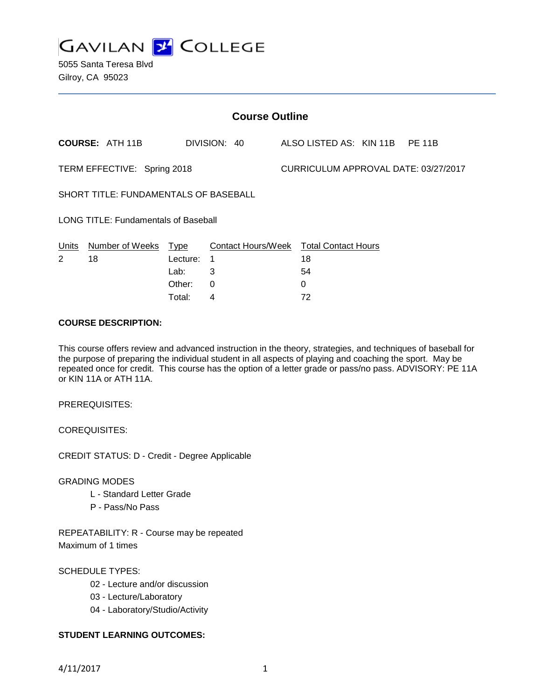

5055 Santa Teresa Blvd Gilroy, CA 95023

| <b>Course Outline</b>                        |                        |             |                           |  |                                      |  |  |  |
|----------------------------------------------|------------------------|-------------|---------------------------|--|--------------------------------------|--|--|--|
|                                              | <b>COURSE: ATH 11B</b> |             | DIVISION: 40              |  | ALSO LISTED AS: KIN 11B PE 11B       |  |  |  |
| TERM EFFECTIVE: Spring 2018                  |                        |             |                           |  | CURRICULUM APPROVAL DATE: 03/27/2017 |  |  |  |
| <b>SHORT TITLE: FUNDAMENTALS OF BASEBALL</b> |                        |             |                           |  |                                      |  |  |  |
| <b>LONG TITLE: Fundamentals of Baseball</b>  |                        |             |                           |  |                                      |  |  |  |
| Units                                        | Number of Weeks        | <u>Type</u> | <b>Contact Hours/Week</b> |  | <b>Total Contact Hours</b>           |  |  |  |
| 2                                            | 18                     | Lecture:    | 1                         |  | 18                                   |  |  |  |
|                                              |                        | Lab:        | 3                         |  | 54                                   |  |  |  |
|                                              |                        | Other:      | $\Omega$                  |  | 0                                    |  |  |  |
|                                              |                        | Total:      | 4                         |  | 72                                   |  |  |  |

## **COURSE DESCRIPTION:**

This course offers review and advanced instruction in the theory, strategies, and techniques of baseball for the purpose of preparing the individual student in all aspects of playing and coaching the sport. May be repeated once for credit. This course has the option of a letter grade or pass/no pass. ADVISORY: PE 11A or KIN 11A or ATH 11A.

PREREQUISITES:

COREQUISITES:

CREDIT STATUS: D - Credit - Degree Applicable

GRADING MODES

- L Standard Letter Grade
- P Pass/No Pass

REPEATABILITY: R - Course may be repeated Maximum of 1 times

SCHEDULE TYPES:

- 02 Lecture and/or discussion
- 03 Lecture/Laboratory
- 04 Laboratory/Studio/Activity

# **STUDENT LEARNING OUTCOMES:**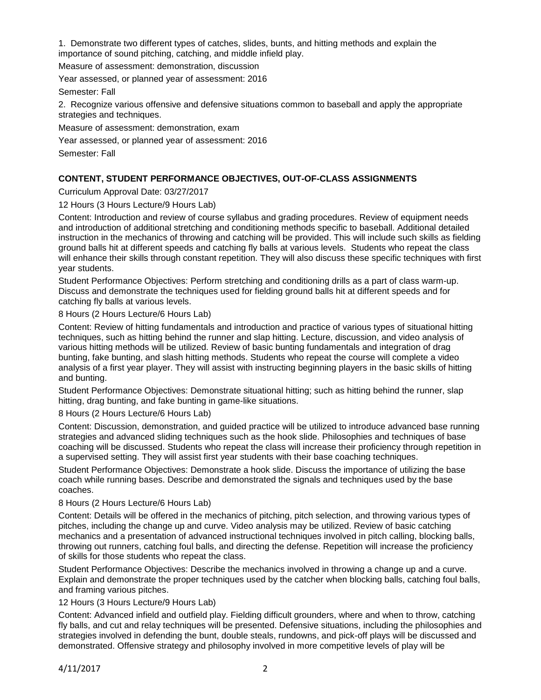1. Demonstrate two different types of catches, slides, bunts, and hitting methods and explain the importance of sound pitching, catching, and middle infield play.

Measure of assessment: demonstration, discussion

Year assessed, or planned year of assessment: 2016

Semester: Fall

2. Recognize various offensive and defensive situations common to baseball and apply the appropriate strategies and techniques.

Measure of assessment: demonstration, exam

Year assessed, or planned year of assessment: 2016

Semester: Fall

# **CONTENT, STUDENT PERFORMANCE OBJECTIVES, OUT-OF-CLASS ASSIGNMENTS**

Curriculum Approval Date: 03/27/2017

12 Hours (3 Hours Lecture/9 Hours Lab)

Content: Introduction and review of course syllabus and grading procedures. Review of equipment needs and introduction of additional stretching and conditioning methods specific to baseball. Additional detailed instruction in the mechanics of throwing and catching will be provided. This will include such skills as fielding ground balls hit at different speeds and catching fly balls at various levels. Students who repeat the class will enhance their skills through constant repetition. They will also discuss these specific techniques with first year students.

Student Performance Objectives: Perform stretching and conditioning drills as a part of class warm-up. Discuss and demonstrate the techniques used for fielding ground balls hit at different speeds and for catching fly balls at various levels.

8 Hours (2 Hours Lecture/6 Hours Lab)

Content: Review of hitting fundamentals and introduction and practice of various types of situational hitting techniques, such as hitting behind the runner and slap hitting. Lecture, discussion, and video analysis of various hitting methods will be utilized. Review of basic bunting fundamentals and integration of drag bunting, fake bunting, and slash hitting methods. Students who repeat the course will complete a video analysis of a first year player. They will assist with instructing beginning players in the basic skills of hitting and bunting.

Student Performance Objectives: Demonstrate situational hitting; such as hitting behind the runner, slap hitting, drag bunting, and fake bunting in game-like situations.

8 Hours (2 Hours Lecture/6 Hours Lab)

Content: Discussion, demonstration, and guided practice will be utilized to introduce advanced base running strategies and advanced sliding techniques such as the hook slide. Philosophies and techniques of base coaching will be discussed. Students who repeat the class will increase their proficiency through repetition in a supervised setting. They will assist first year students with their base coaching techniques.

Student Performance Objectives: Demonstrate a hook slide. Discuss the importance of utilizing the base coach while running bases. Describe and demonstrated the signals and techniques used by the base coaches.

### 8 Hours (2 Hours Lecture/6 Hours Lab)

Content: Details will be offered in the mechanics of pitching, pitch selection, and throwing various types of pitches, including the change up and curve. Video analysis may be utilized. Review of basic catching mechanics and a presentation of advanced instructional techniques involved in pitch calling, blocking balls, throwing out runners, catching foul balls, and directing the defense. Repetition will increase the proficiency of skills for those students who repeat the class.

Student Performance Objectives: Describe the mechanics involved in throwing a change up and a curve. Explain and demonstrate the proper techniques used by the catcher when blocking balls, catching foul balls, and framing various pitches.

12 Hours (3 Hours Lecture/9 Hours Lab)

Content: Advanced infield and outfield play. Fielding difficult grounders, where and when to throw, catching fly balls, and cut and relay techniques will be presented. Defensive situations, including the philosophies and strategies involved in defending the bunt, double steals, rundowns, and pick-off plays will be discussed and demonstrated. Offensive strategy and philosophy involved in more competitive levels of play will be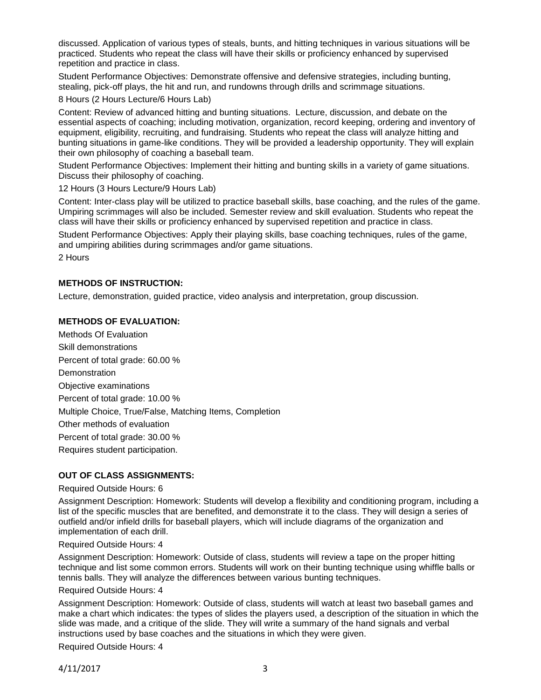discussed. Application of various types of steals, bunts, and hitting techniques in various situations will be practiced. Students who repeat the class will have their skills or proficiency enhanced by supervised repetition and practice in class.

Student Performance Objectives: Demonstrate offensive and defensive strategies, including bunting, stealing, pick-off plays, the hit and run, and rundowns through drills and scrimmage situations.

8 Hours (2 Hours Lecture/6 Hours Lab)

Content: Review of advanced hitting and bunting situations. Lecture, discussion, and debate on the essential aspects of coaching; including motivation, organization, record keeping, ordering and inventory of equipment, eligibility, recruiting, and fundraising. Students who repeat the class will analyze hitting and bunting situations in game-like conditions. They will be provided a leadership opportunity. They will explain their own philosophy of coaching a baseball team.

Student Performance Objectives: Implement their hitting and bunting skills in a variety of game situations. Discuss their philosophy of coaching.

12 Hours (3 Hours Lecture/9 Hours Lab)

Content: Inter-class play will be utilized to practice baseball skills, base coaching, and the rules of the game. Umpiring scrimmages will also be included. Semester review and skill evaluation. Students who repeat the class will have their skills or proficiency enhanced by supervised repetition and practice in class.

Student Performance Objectives: Apply their playing skills, base coaching techniques, rules of the game, and umpiring abilities during scrimmages and/or game situations.

2 Hours

# **METHODS OF INSTRUCTION:**

Lecture, demonstration, guided practice, video analysis and interpretation, group discussion.

# **METHODS OF EVALUATION:**

Methods Of Evaluation Skill demonstrations Percent of total grade: 60.00 % **Demonstration** Objective examinations Percent of total grade: 10.00 % Multiple Choice, True/False, Matching Items, Completion Other methods of evaluation Percent of total grade: 30.00 % Requires student participation.

# **OUT OF CLASS ASSIGNMENTS:**

### Required Outside Hours: 6

Assignment Description: Homework: Students will develop a flexibility and conditioning program, including a list of the specific muscles that are benefited, and demonstrate it to the class. They will design a series of outfield and/or infield drills for baseball players, which will include diagrams of the organization and implementation of each drill.

# Required Outside Hours: 4

Assignment Description: Homework: Outside of class, students will review a tape on the proper hitting technique and list some common errors. Students will work on their bunting technique using whiffle balls or tennis balls. They will analyze the differences between various bunting techniques.

### Required Outside Hours: 4

Assignment Description: Homework: Outside of class, students will watch at least two baseball games and make a chart which indicates: the types of slides the players used, a description of the situation in which the slide was made, and a critique of the slide. They will write a summary of the hand signals and verbal instructions used by base coaches and the situations in which they were given.

Required Outside Hours: 4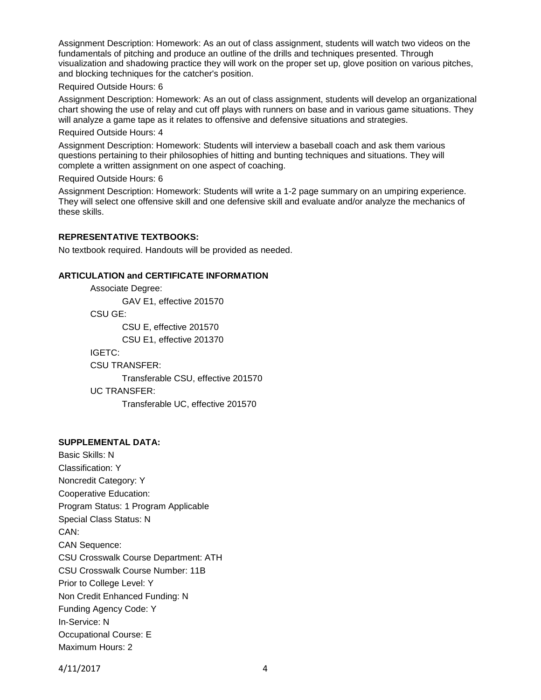Assignment Description: Homework: As an out of class assignment, students will watch two videos on the fundamentals of pitching and produce an outline of the drills and techniques presented. Through visualization and shadowing practice they will work on the proper set up, glove position on various pitches, and blocking techniques for the catcher's position.

### Required Outside Hours: 6

Assignment Description: Homework: As an out of class assignment, students will develop an organizational chart showing the use of relay and cut off plays with runners on base and in various game situations. They will analyze a game tape as it relates to offensive and defensive situations and strategies.

#### Required Outside Hours: 4

Assignment Description: Homework: Students will interview a baseball coach and ask them various questions pertaining to their philosophies of hitting and bunting techniques and situations. They will complete a written assignment on one aspect of coaching.

#### Required Outside Hours: 6

Assignment Description: Homework: Students will write a 1-2 page summary on an umpiring experience. They will select one offensive skill and one defensive skill and evaluate and/or analyze the mechanics of these skills.

## **REPRESENTATIVE TEXTBOOKS:**

No textbook required. Handouts will be provided as needed.

### **ARTICULATION and CERTIFICATE INFORMATION**

Associate Degree: GAV E1, effective 201570 CSU GE: CSU E, effective 201570 CSU E1, effective 201370 IGETC: CSU TRANSFER: Transferable CSU, effective 201570 UC TRANSFER: Transferable UC, effective 201570

## **SUPPLEMENTAL DATA:**

Basic Skills: N Classification: Y Noncredit Category: Y Cooperative Education: Program Status: 1 Program Applicable Special Class Status: N CAN: CAN Sequence: CSU Crosswalk Course Department: ATH CSU Crosswalk Course Number: 11B Prior to College Level: Y Non Credit Enhanced Funding: N Funding Agency Code: Y In-Service: N Occupational Course: E Maximum Hours: 2